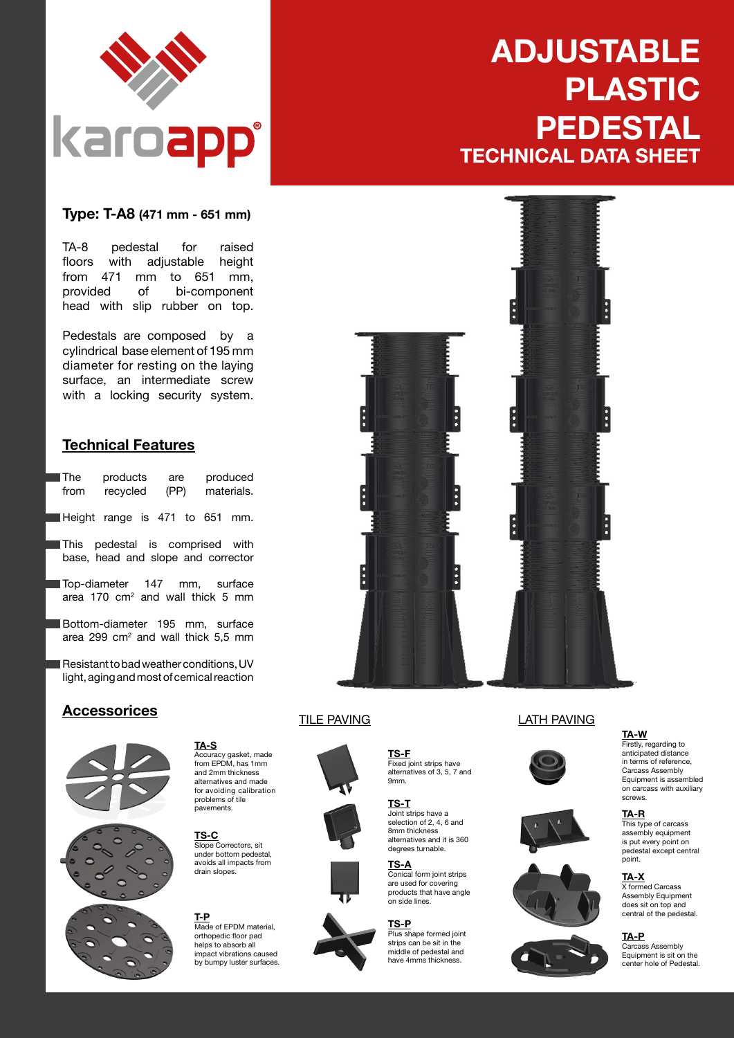

#### **Type: T-A8 (471 mm - 651 mm)**

TA-8 pedestal for raised<br>floors with adjustable height floors with adjustable from 471 mm to 651 mm,<br>provided of bi-component bi-component head with slip rubber on top.

Pedestals are composed by a cylindrical base element of 195 mm diameter for resting on the laying surface, an intermediate screw with a locking security system.

#### **Technical Features**

| l The | products | are  | produced   |
|-------|----------|------|------------|
| from  | recycled | (PP) | materials. |
|       |          |      |            |

Height range is 471 to 651 mm.

This pedestal is comprised with base, head and slope and corrector

Top-diameter 147 mm, surface area 170 cm<sup>2</sup> and wall thick 5 mm

Bottom-diameter 195 mm, surface area 299 cm<sup>2</sup> and wall thick 5,5 mm

Resistant to bad weather conditions, UV light, aging and most of cemical reaction

## **Accessorices** TILE PAVING LATH PAVING





Accuracy gasket, made from EPDM, has 1mm and 2mm thickness alternatives and made for avoiding calibration problems of tile .<br>navements

**TA-S**

**TS-C** Slope Correctors, sit under bottom pedestal, avoids all impacts from drain slopes.



# **ADJUSTABLE PLASTIC PEDESTAL TECHNICAL DATA SHEET**









**TS-F**

9mm.

Fixed joint strips have alternatives of 3, 5, 7 and

**TS-P** Plus shape formed joint strips can be sit in the middle of pedestal and

have 4mms thickness.







**TA-R** This type of carcass assembly equipment is put every point on pedestal except central point.

#### **TA-X**

**TA-W** Firstly, regarding to anticipated distance in terms of reference, Carcass Assembly Equipment is assembled on carcass with auxiliary

screws.

X formed Carcass Assembly Equipment does sit on top and central of the pedestal.

#### **TA-P**

Carcass Assembly Equipment is sit on the center hole of Pedestal.